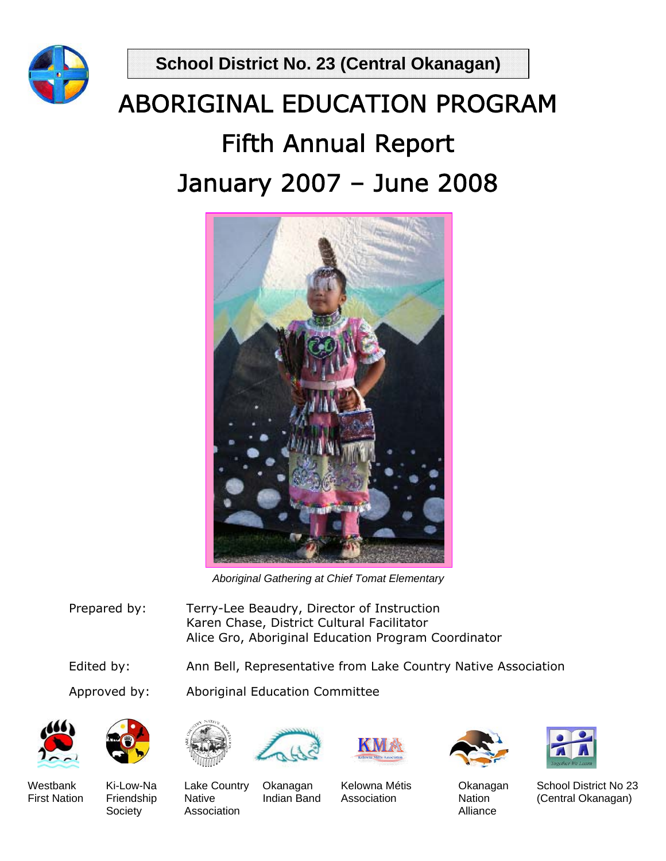**School District No. 23 (Central Okanagan)** 





*Aboriginal Gathering at Chief Tomat Elementary*

- Prepared by: Terry-Lee Beaudry, Director of Instruction Karen Chase, District Cultural Facilitator Alice Gro, Aboriginal Education Program Coordinator
- Edited by: Ann Bell, Representative from Lake Country Native Association

Approved by: Aboriginal Education Committee









Society Association **Alliance** Association **Alliance** 

Westbank Ki-Low-Na Lake Country Okanagan Kelowna Métis Okanagan School District No 23 First Nation Friendship Native Indian Band Association Nation (Central Okanagan)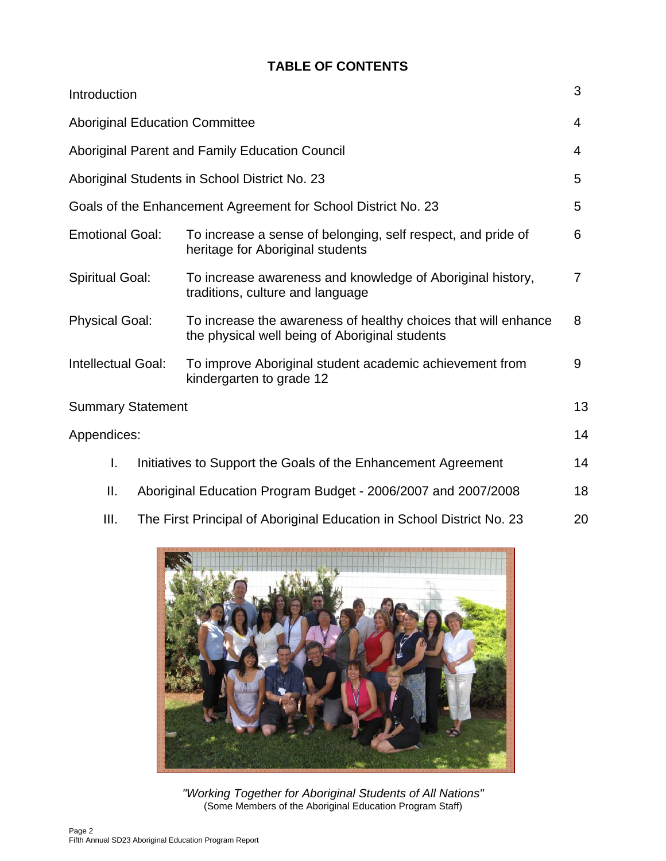## **TABLE OF CONTENTS**

| Introduction                                                        |                                       |                                                                                                                  |    |  |  |  |
|---------------------------------------------------------------------|---------------------------------------|------------------------------------------------------------------------------------------------------------------|----|--|--|--|
|                                                                     | <b>Aboriginal Education Committee</b> |                                                                                                                  |    |  |  |  |
| Aboriginal Parent and Family Education Council                      |                                       |                                                                                                                  |    |  |  |  |
|                                                                     |                                       | Aboriginal Students in School District No. 23                                                                    | 5  |  |  |  |
|                                                                     |                                       | Goals of the Enhancement Agreement for School District No. 23                                                    | 5  |  |  |  |
| <b>Emotional Goal:</b>                                              |                                       | To increase a sense of belonging, self respect, and pride of<br>heritage for Aboriginal students                 | 6  |  |  |  |
| <b>Spiritual Goal:</b>                                              |                                       | To increase awareness and knowledge of Aboriginal history,<br>traditions, culture and language                   |    |  |  |  |
| <b>Physical Goal:</b>                                               |                                       | To increase the awareness of healthy choices that will enhance<br>the physical well being of Aboriginal students |    |  |  |  |
| Intellectual Goal:                                                  |                                       | To improve Aboriginal student academic achievement from<br>kindergarten to grade 12                              |    |  |  |  |
| <b>Summary Statement</b>                                            |                                       |                                                                                                                  | 13 |  |  |  |
|                                                                     | Appendices:                           |                                                                                                                  |    |  |  |  |
| I.                                                                  |                                       | Initiatives to Support the Goals of the Enhancement Agreement                                                    | 14 |  |  |  |
| Ш.<br>Aboriginal Education Program Budget - 2006/2007 and 2007/2008 |                                       |                                                                                                                  |    |  |  |  |
| III.                                                                |                                       | The First Principal of Aboriginal Education in School District No. 23                                            |    |  |  |  |



*"Working Together for Aboriginal Students of All Nations"*  (Some Members of the Aboriginal Education Program Staff)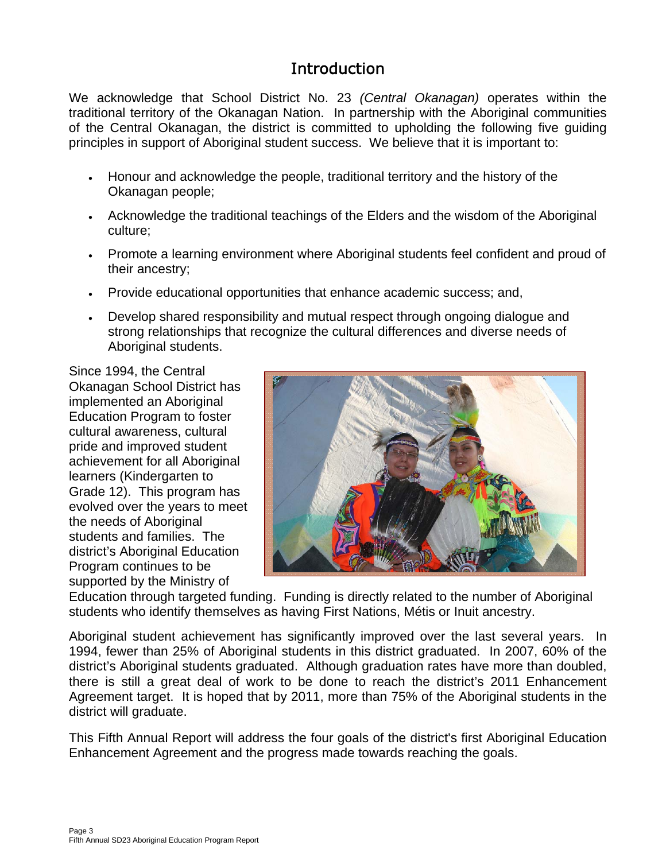# **Introduction**

We acknowledge that School District No. 23 *(Central Okanagan)* operates within the traditional territory of the Okanagan Nation. In partnership with the Aboriginal communities of the Central Okanagan, the district is committed to upholding the following five guiding principles in support of Aboriginal student success. We believe that it is important to:

- Honour and acknowledge the people, traditional territory and the history of the Okanagan people;
- Acknowledge the traditional teachings of the Elders and the wisdom of the Aboriginal culture;
- Promote a learning environment where Aboriginal students feel confident and proud of their ancestry;
- Provide educational opportunities that enhance academic success; and,
- Develop shared responsibility and mutual respect through ongoing dialogue and strong relationships that recognize the cultural differences and diverse needs of Aboriginal students.

Since 1994, the Central Okanagan School District has implemented an Aboriginal Education Program to foster cultural awareness, cultural pride and improved student achievement for all Aboriginal learners (Kindergarten to Grade 12). This program has evolved over the years to meet the needs of Aboriginal students and families. The district's Aboriginal Education Program continues to be supported by the Ministry of



Education through targeted funding. Funding is directly related to the number of Aboriginal students who identify themselves as having First Nations, Métis or Inuit ancestry.

Aboriginal student achievement has significantly improved over the last several years. In 1994, fewer than 25% of Aboriginal students in this district graduated. In 2007, 60% of the district's Aboriginal students graduated. Although graduation rates have more than doubled, there is still a great deal of work to be done to reach the district's 2011 Enhancement Agreement target. It is hoped that by 2011, more than 75% of the Aboriginal students in the district will graduate.

This Fifth Annual Report will address the four goals of the district's first Aboriginal Education Enhancement Agreement and the progress made towards reaching the goals.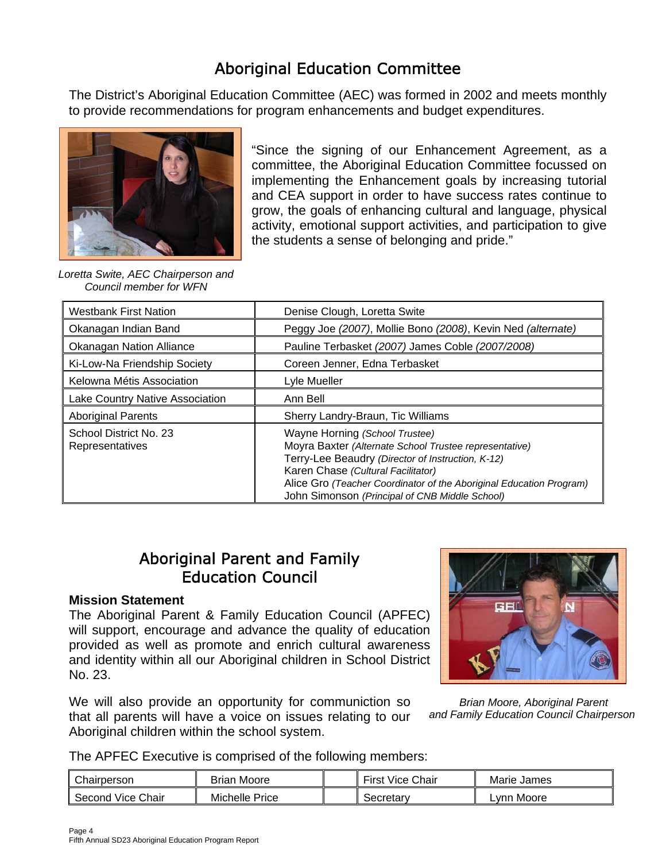# Aboriginal Education Committee

The District's Aboriginal Education Committee (AEC) was formed in 2002 and meets monthly to provide recommendations for program enhancements and budget expenditures.



"Since the signing of our Enhancement Agreement, as a committee, the Aboriginal Education Committee focussed on implementing the Enhancement goals by increasing tutorial and CEA support in order to have success rates continue to grow, the goals of enhancing cultural and language, physical activity, emotional support activities, and participation to give the students a sense of belonging and pride."

*Loretta Swite, AEC Chairperson and Council member for WFN* 

| <b>Westbank First Nation</b>              | Denise Clough, Loretta Swite                                                                                                                                                                                                                                                                                 |  |  |  |
|-------------------------------------------|--------------------------------------------------------------------------------------------------------------------------------------------------------------------------------------------------------------------------------------------------------------------------------------------------------------|--|--|--|
| Okanagan Indian Band                      | Peggy Joe (2007), Mollie Bono (2008), Kevin Ned (alternate)                                                                                                                                                                                                                                                  |  |  |  |
| <b>Okanagan Nation Alliance</b>           | Pauline Terbasket (2007) James Coble (2007/2008)                                                                                                                                                                                                                                                             |  |  |  |
| Ki-Low-Na Friendship Society              | Coreen Jenner, Edna Terbasket                                                                                                                                                                                                                                                                                |  |  |  |
| Kelowna Métis Association                 | Lyle Mueller                                                                                                                                                                                                                                                                                                 |  |  |  |
| Lake Country Native Association           | Ann Bell                                                                                                                                                                                                                                                                                                     |  |  |  |
| <b>Aboriginal Parents</b>                 | Sherry Landry-Braun, Tic Williams                                                                                                                                                                                                                                                                            |  |  |  |
| School District No. 23<br>Representatives | Wayne Horning (School Trustee)<br>Moyra Baxter (Alternate School Trustee representative)<br>Terry-Lee Beaudry (Director of Instruction, K-12)<br>Karen Chase (Cultural Facilitator)<br>Alice Gro (Teacher Coordinator of the Aboriginal Education Program)<br>John Simonson (Principal of CNB Middle School) |  |  |  |

## Aboriginal Parent and Family Education Council

#### **Mission Statement**

The Aboriginal Parent & Family Education Council (APFEC) will support, encourage and advance the quality of education provided as well as promote and enrich cultural awareness and identity within all our Aboriginal children in School District No. 23.

We will also provide an opportunity for communiction so that all parents will have a voice on issues relating to our Aboriginal children within the school system.



*Brian Moore, Aboriginal Parent and Family Education Council Chairperson* 

The APFEC Executive is comprised of the following members:

| Chairperson          | <b>Brian Moore</b> | --<br><b>Vice Chair</b><br>First | Marie James |
|----------------------|--------------------|----------------------------------|-------------|
| Vice Chair<br>Second | Michelle<br>Price  | Secretary                        | .vnn Moore  |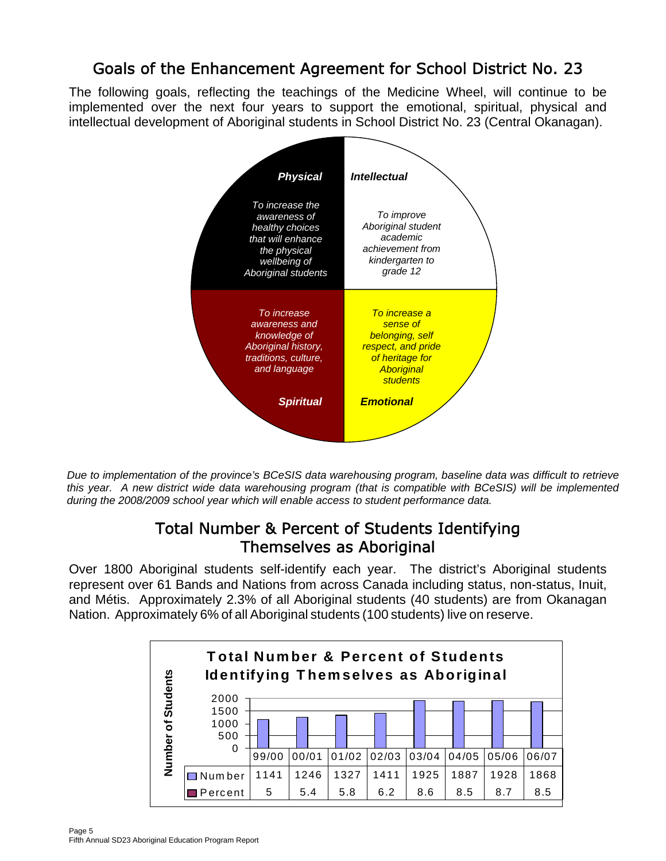# Goals of the Enhancement Agreement for School District No. 23

The following goals, reflecting the teachings of the Medicine Wheel, will continue to be implemented over the next four years to support the emotional, spiritual, physical and intellectual development of Aboriginal students in School District No. 23 (Central Okanagan).



*Due to implementation of the province's BCeSIS data warehousing program, baseline data was difficult to retrieve this year. A new district wide data warehousing program (that is compatible with BCeSIS) will be implemented during the 2008/2009 school year which will enable access to student performance data.* 

## Total Number & Percent of Students Identifying Themselves as Aboriginal

Over 1800 Aboriginal students self-identify each year. The district's Aboriginal students represent over 61 Bands and Nations from across Canada including status, non-status, Inuit, and Métis. Approximately 2.3% of all Aboriginal students (40 students) are from Okanagan Nation. Approximately 6% of all Aboriginal students (100 students) live on reserve.

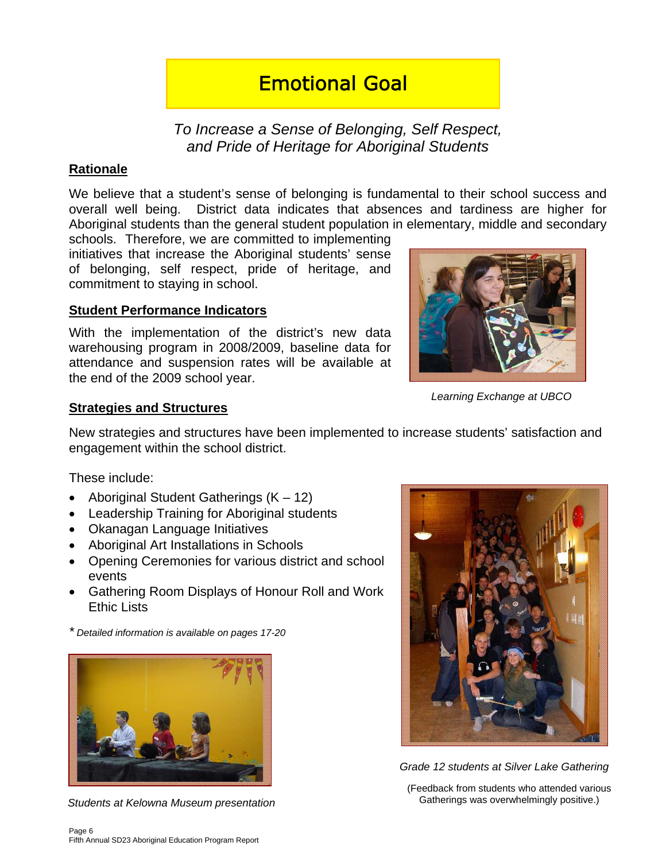# Emotional Goal

*To Increase a Sense of Belonging, Self Respect, and Pride of Heritage for Aboriginal Students* 

### **Rationale**

We believe that a student's sense of belonging is fundamental to their school success and overall well being. District data indicates that absences and tardiness are higher for Aboriginal students than the general student population in elementary, middle and secondary

schools. Therefore, we are committed to implementing initiatives that increase the Aboriginal students' sense of belonging, self respect, pride of heritage, and commitment to staying in school.

#### **Student Performance Indicators**

With the implementation of the district's new data warehousing program in 2008/2009, baseline data for attendance and suspension rates will be available at the end of the 2009 school year.



*Learning Exchange at UBCO* 

#### **Strategies and Structures**

New strategies and structures have been implemented to increase students' satisfaction and engagement within the school district.

These include:

- Aboriginal Student Gatherings (K 12)
- Leadership Training for Aboriginal students
- Okanagan Language Initiatives
- Aboriginal Art Installations in Schools
- Opening Ceremonies for various district and school events
- Gathering Room Displays of Honour Roll and Work Ethic Lists

*\* Detailed information is available on pages 17-20*



*Students at Kelowna Museum presentation*



*Grade 12 students at Silver Lake Gathering* 

(Feedback from students who attended various Gatherings was overwhelmingly positive.)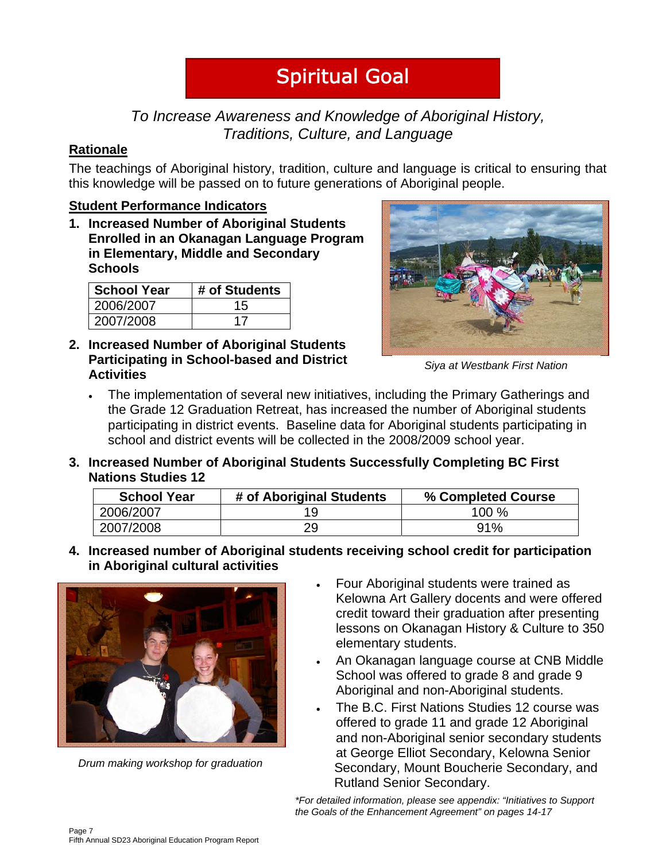# Spiritual Goal

## *To Increase Awareness and Knowledge of Aboriginal History, Traditions, Culture, and Language*

## **Rationale**

The teachings of Aboriginal history, tradition, culture and language is critical to ensuring that this knowledge will be passed on to future generations of Aboriginal people.

## **Student Performance Indicators**

**1. Increased Number of Aboriginal Students Enrolled in an Okanagan Language Program in Elementary, Middle and Secondary Schools** 

| <b>School Year</b> | # of Students |
|--------------------|---------------|
| 2006/2007          | 15            |
| 2007/2008          | 17            |

**2. Increased Number of Aboriginal Students Participating in School-based and District Activities** 



*Siya at Westbank First Nation* 

- The implementation of several new initiatives, including the Primary Gatherings and the Grade 12 Graduation Retreat, has increased the number of Aboriginal students participating in district events. Baseline data for Aboriginal students participating in school and district events will be collected in the 2008/2009 school year.
- **3. Increased Number of Aboriginal Students Successfully Completing BC First Nations Studies 12**

| <b>School Year</b> | # of Aboriginal Students | % Completed Course |  |  |
|--------------------|--------------------------|--------------------|--|--|
| 2006/2007          |                          | 100 %              |  |  |
| 2007/2008          | 29                       | 91%                |  |  |

**4. Increased number of Aboriginal students receiving school credit for participation in Aboriginal cultural activities** 



*Drum making workshop for graduation* 

- Four Aboriginal students were trained as Kelowna Art Gallery docents and were offered credit toward their graduation after presenting lessons on Okanagan History & Culture to 350 elementary students.
- An Okanagan language course at CNB Middle School was offered to grade 8 and grade 9 Aboriginal and non-Aboriginal students.
- The B.C. First Nations Studies 12 course was offered to grade 11 and grade 12 Aboriginal and non-Aboriginal senior secondary students at George Elliot Secondary, Kelowna Senior Secondary, Mount Boucherie Secondary, and Rutland Senior Secondary.

*\*For detailed information, please see appendix: "Initiatives to Support the Goals of the Enhancement Agreement" on pages 14-17*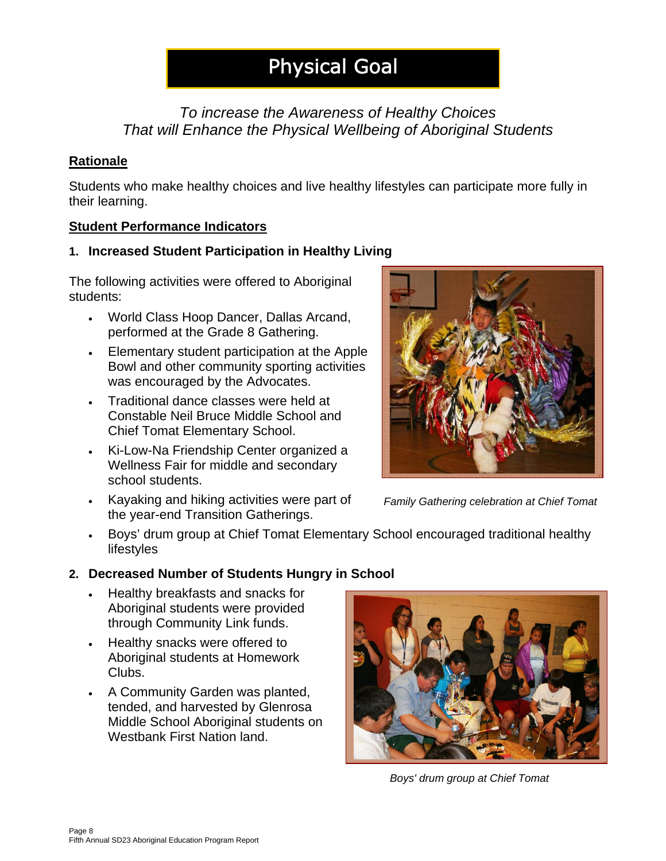# Physical Goal

## *To increase the Awareness of Healthy Choices That will Enhance the Physical Wellbeing of Aboriginal Students*

## **Rationale**

Students who make healthy choices and live healthy lifestyles can participate more fully in their learning.

## **Student Performance Indicators**

## **1. Increased Student Participation in Healthy Living**

The following activities were offered to Aboriginal students:

- World Class Hoop Dancer, Dallas Arcand, performed at the Grade 8 Gathering.
- Elementary student participation at the Apple Bowl and other community sporting activities was encouraged by the Advocates.
- Traditional dance classes were held at Constable Neil Bruce Middle School and Chief Tomat Elementary School.
- Ki-Low-Na Friendship Center organized a Wellness Fair for middle and secondary school students.
- Kayaking and hiking activities were part of the year-end Transition Gatherings.



*Family Gathering celebration at Chief Tomat* 

• Boys' drum group at Chief Tomat Elementary School encouraged traditional healthy lifestyles

## **2. Decreased Number of Students Hungry in School**

- Healthy breakfasts and snacks for Aboriginal students were provided through Community Link funds.
- Healthy snacks were offered to Aboriginal students at Homework Clubs.
- A Community Garden was planted, tended, and harvested by Glenrosa Middle School Aboriginal students on Westbank First Nation land.



*Boys' drum group at Chief Tomat*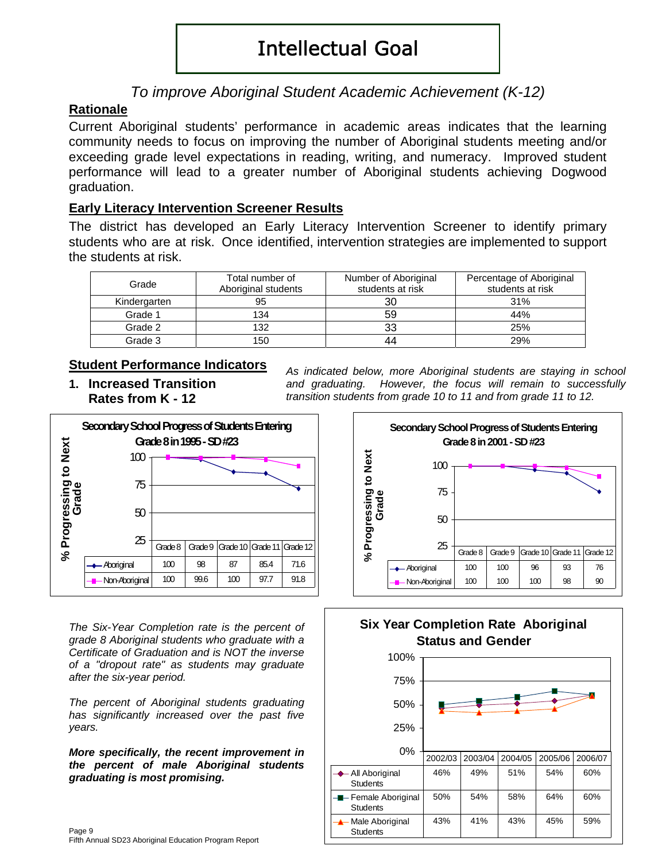# Intellectual Goal

## *To improve Aboriginal Student Academic Achievement (K-12)*

## **Rationale**

Current Aboriginal students' performance in academic areas indicates that the learning community needs to focus on improving the number of Aboriginal students meeting and/or exceeding grade level expectations in reading, writing, and numeracy. Improved student performance will lead to a greater number of Aboriginal students achieving Dogwood graduation.

#### **Early Literacy Intervention Screener Results**

The district has developed an Early Literacy Intervention Screener to identify primary students who are at risk. Once identified, intervention strategies are implemented to support the students at risk.

| Grade        | Total number of<br>Aboriginal students | Number of Aboriginal<br>students at risk | Percentage of Aboriginal<br>students at risk |
|--------------|----------------------------------------|------------------------------------------|----------------------------------------------|
| Kindergarten | 95                                     | 30                                       | 31%                                          |
| Grade 1      | 134                                    | 59                                       | 44%                                          |
| Grade 2      | 132                                    | 33                                       | 25%                                          |
| Grade 3      | 150                                    | 44                                       | 29%                                          |

#### **Student Performance Indicators**

**1. Increased Transition Rates from K - 12** 

*As indicated below, more Aboriginal students are staying in school and graduating. However, the focus will remain to successfully transition students from grade 10 to 11 and from grade 11 to 12.*



*The Six-Year Completion rate is the percent of grade 8 Aboriginal students who graduate with a Certificate of Graduation and is NOT the inverse of a "dropout rate" as students may graduate after the six-year period.* 

*The percent of Aboriginal students graduating has significantly increased over the past five years.* 

*More specifically, the recent improvement in the percent of male Aboriginal students graduating is most promising.*







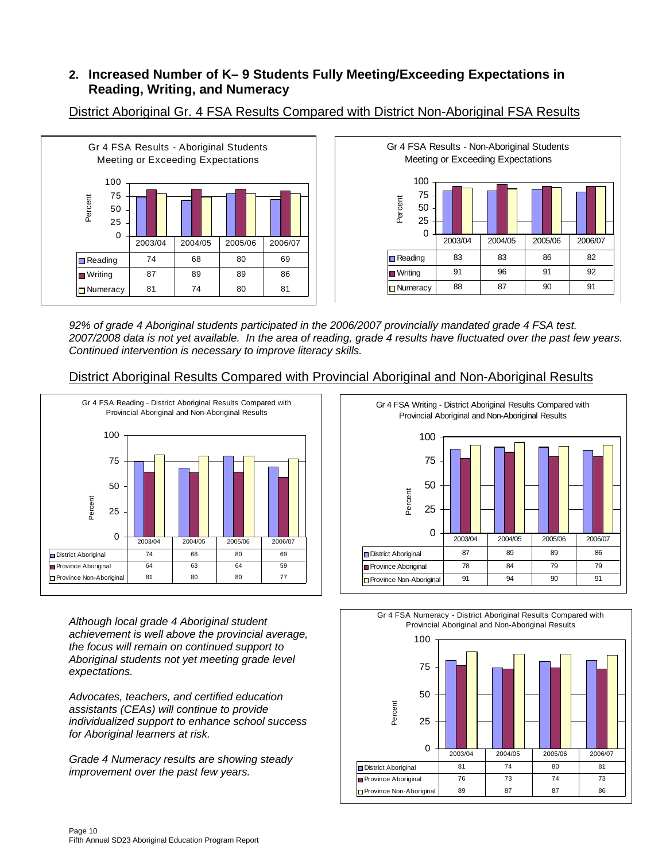### **2. Increased Number of K– 9 Students Fully Meeting/Exceeding Expectations in Reading, Writing, and Numeracy**



District Aboriginal Gr. 4 FSA Results Compared with District Non-Aboriginal FSA Results



*92% of grade 4 Aboriginal students participated in the 2006/2007 provincially mandated grade 4 FSA test. 2007/2008 data is not yet available. In the area of reading, grade 4 results have fluctuated over the past few years. Continued intervention is necessary to improve literacy skills.* 

#### District Aboriginal Results Compared with Provincial Aboriginal and Non-Aboriginal Results



*Although local grade 4 Aboriginal student achievement is well above the provincial average, the focus will remain on continued support to Aboriginal students not yet meeting grade level expectations.* 

*Advocates, teachers, and certified education assistants (CEAs) will continue to provide individualized support to enhance school success for Aboriginal learners at risk.* 

*Grade 4 Numeracy results are showing steady improvement over the past few years.* 



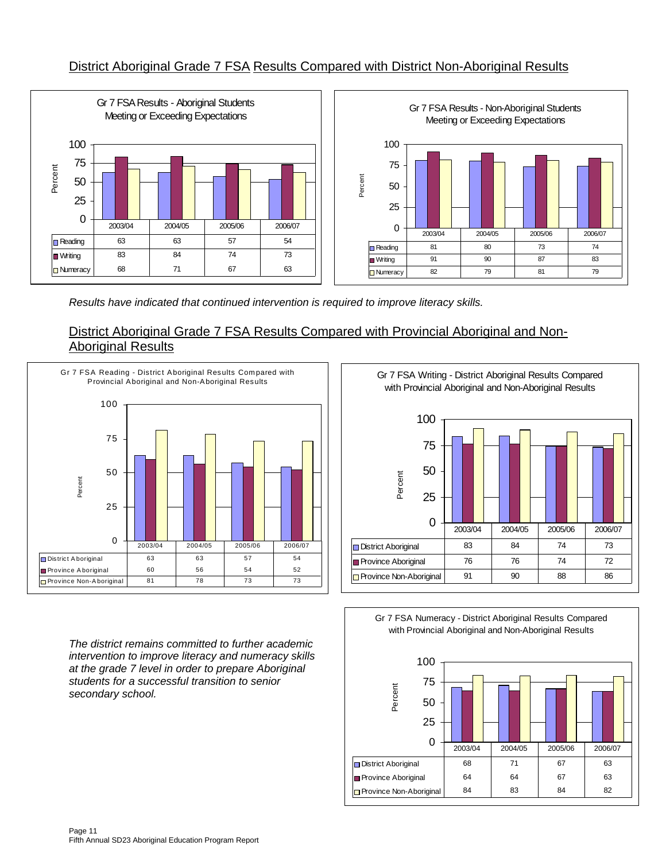## District Aboriginal Grade 7 FSA Results Compared with District Non-Aboriginal Results



*Results have indicated that continued intervention is required to improve literacy skills.* 

#### District Aboriginal Grade 7 FSA Results Compared with Provincial Aboriginal and Non-Aboriginal Results



*The district remains committed to further academic intervention to improve literacy and numeracy skills at the grade 7 level in order to prepare Aboriginal students for a successful transition to senior secondary school.* 

Gr 7 FSA Writing - District Aboriginal Results Compared with Provincial Aboriginal and Non-Aboriginal Results



Gr 7 FSA Numeracy - District Aboriginal Results Compared with Provincial Aboriginal and Non-Aboriginal Results

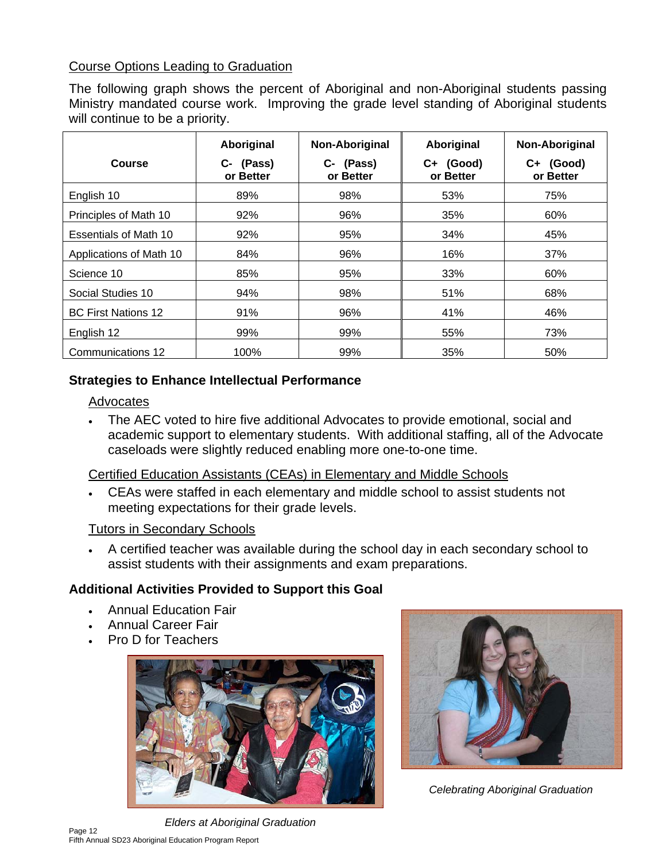## Course Options Leading to Graduation

The following graph shows the percent of Aboriginal and non-Aboriginal students passing Ministry mandated course work. Improving the grade level standing of Aboriginal students will continue to be a priority.

|                              | Aboriginal                | Non-Aboriginal            | Aboriginal                | Non-Aboriginal         |
|------------------------------|---------------------------|---------------------------|---------------------------|------------------------|
| Course                       | (Pass)<br>C-<br>or Better | (Pass)<br>C-<br>or Better | (Good)<br>C+<br>or Better | C+ (Good)<br>or Better |
| English 10                   | 89%                       | 98%                       | 53%                       | 75%                    |
| Principles of Math 10        | 92%                       | 96%                       | 35%                       | 60%                    |
| <b>Essentials of Math 10</b> | 92%                       | 95%                       | 34%                       | 45%                    |
| Applications of Math 10      | 84%                       | 96%                       | 16%                       | 37%                    |
| Science 10                   | 85%                       | 95%                       | 33%                       | 60%                    |
| Social Studies 10            | 94%                       | 98%                       | 51%                       | 68%                    |
| <b>BC First Nations 12</b>   | 91%                       | 96%                       | 41%                       | 46%                    |
| English 12                   | 99%                       | 99%                       | 55%                       | 73%                    |
| Communications 12            | 100%                      | 99%                       | 35%                       | 50%                    |

## **Strategies to Enhance Intellectual Performance**

#### Advocates

• The AEC voted to hire five additional Advocates to provide emotional, social and academic support to elementary students. With additional staffing, all of the Advocate caseloads were slightly reduced enabling more one-to-one time.

## Certified Education Assistants (CEAs) in Elementary and Middle Schools

• CEAs were staffed in each elementary and middle school to assist students not meeting expectations for their grade levels.

## Tutors in Secondary Schools

• A certified teacher was available during the school day in each secondary school to assist students with their assignments and exam preparations.

## **Additional Activities Provided to Support this Goal**

- Annual Education Fair
- Annual Career Fair
- Pro D for Teachers



Page 12 Fifth Annual SD23 Aboriginal Education Program Report *Elders at Aboriginal Graduation*



*Celebrating Aboriginal Graduation*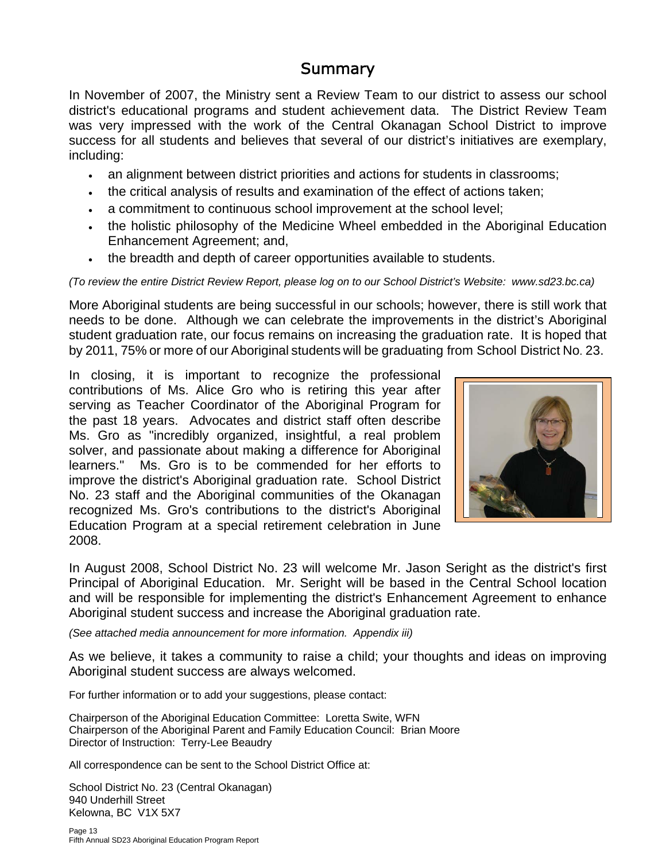## **Summary**

In November of 2007, the Ministry sent a Review Team to our district to assess our school district's educational programs and student achievement data. The District Review Team was very impressed with the work of the Central Okanagan School District to improve success for all students and believes that several of our district's initiatives are exemplary, including:

- an alignment between district priorities and actions for students in classrooms;
- the critical analysis of results and examination of the effect of actions taken;
- a commitment to continuous school improvement at the school level;
- the holistic philosophy of the Medicine Wheel embedded in the Aboriginal Education Enhancement Agreement; and,
- the breadth and depth of career opportunities available to students.

*(To review the entire District Review Report, please log on to our School District's Website: www.sd23.bc.ca)* 

More Aboriginal students are being successful in our schools; however, there is still work that needs to be done. Although we can celebrate the improvements in the district's Aboriginal student graduation rate, our focus remains on increasing the graduation rate. It is hoped that by 2011, 75% or more of our Aboriginal students will be graduating from School District No. 23.

In closing, it is important to recognize the professional contributions of Ms. Alice Gro who is retiring this year after serving as Teacher Coordinator of the Aboriginal Program for the past 18 years. Advocates and district staff often describe Ms. Gro as "incredibly organized, insightful, a real problem solver, and passionate about making a difference for Aboriginal learners." Ms. Gro is to be commended for her efforts to improve the district's Aboriginal graduation rate. School District No. 23 staff and the Aboriginal communities of the Okanagan recognized Ms. Gro's contributions to the district's Aboriginal Education Program at a special retirement celebration in June 2008.



In August 2008, School District No. 23 will welcome Mr. Jason Seright as the district's first Principal of Aboriginal Education. Mr. Seright will be based in the Central School location and will be responsible for implementing the district's Enhancement Agreement to enhance Aboriginal student success and increase the Aboriginal graduation rate.

*(See attached media announcement for more information. Appendix iii)* 

As we believe, it takes a community to raise a child; your thoughts and ideas on improving Aboriginal student success are always welcomed.

For further information or to add your suggestions, please contact:

Chairperson of the Aboriginal Education Committee: Loretta Swite, WFN Chairperson of the Aboriginal Parent and Family Education Council: Brian Moore Director of Instruction: Terry-Lee Beaudry

All correspondence can be sent to the School District Office at:

School District No. 23 (Central Okanagan) 940 Underhill Street Kelowna, BC V1X 5X7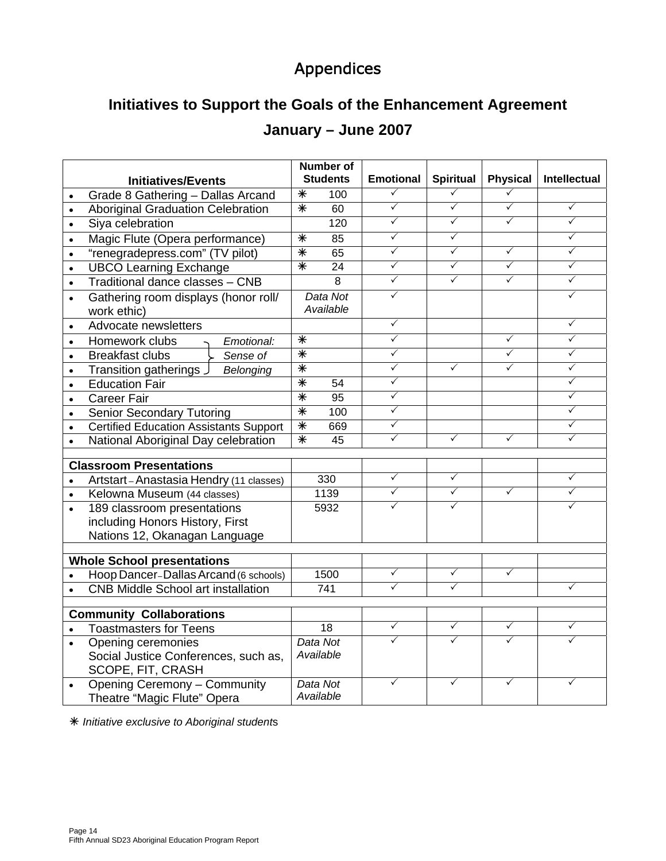# Appendices

# **Initiatives to Support the Goals of the Enhancement Agreement**

# **January – June 2007**

|           | <b>Initiatives/Events</b>                                             |                   | <b>Number of</b><br><b>Students</b> | <b>Emotional</b>             | <b>Spiritual</b> | <b>Physical</b> | Intellectual |
|-----------|-----------------------------------------------------------------------|-------------------|-------------------------------------|------------------------------|------------------|-----------------|--------------|
|           | Grade 8 Gathering - Dallas Arcand                                     | $\overline{\ast}$ | 100                                 | $\checkmark$                 | $\checkmark$     | $\checkmark$    |              |
| $\bullet$ | <b>Aboriginal Graduation Celebration</b>                              | $\overline{\ast}$ | 60                                  | $\checkmark$                 | $\checkmark$     | $\checkmark$    | $\checkmark$ |
| $\bullet$ | Siya celebration                                                      |                   | 120                                 | $\checkmark$                 | $\checkmark$     | $\checkmark$    | $\checkmark$ |
|           | Magic Flute (Opera performance)                                       | $\overline{\ast}$ | 85                                  | $\checkmark$                 | $\checkmark$     |                 | ✓            |
| $\bullet$ | "renegradepress.com" (TV pilot)                                       | $\overline{\ast}$ | 65                                  | $\checkmark$                 | $\checkmark$     | $\checkmark$    | $\checkmark$ |
| $\bullet$ | <b>UBCO Learning Exchange</b>                                         | $\overline{\ast}$ | $\overline{24}$                     | $\checkmark$                 | $\checkmark$     | $\checkmark$    | ✓            |
| $\bullet$ | Traditional dance classes - CNB                                       |                   | 8                                   | $\checkmark$                 | $\checkmark$     | $\checkmark$    | ✓            |
| $\bullet$ | Gathering room displays (honor roll/<br>work ethic)                   |                   | Data Not<br>Available               | $\checkmark$                 |                  |                 | ✓            |
| $\bullet$ | Advocate newsletters                                                  |                   |                                     | $\checkmark$                 |                  |                 | ✓            |
| $\bullet$ | Homework clubs<br>Emotional:                                          | $\,{}^*$          |                                     | $\checkmark$                 |                  | ✓               | ✓            |
| $\bullet$ | <b>Breakfast clubs</b><br>Sense of                                    | $\overline{\ast}$ |                                     | $\checkmark$                 |                  | $\checkmark$    | ✓            |
| $\bullet$ | Transition gatherings<br>Belonging                                    | $\ast$            |                                     | $\checkmark$                 | ✓                | ✓               | ✓            |
| $\bullet$ | <b>Education Fair</b>                                                 | $\overline{\ast}$ | 54                                  | $\checkmark$                 |                  |                 | ✓            |
| $\bullet$ | <b>Career Fair</b>                                                    | $\overline{\ast}$ | $\overline{95}$                     | $\checkmark$                 |                  |                 | ✓            |
| $\bullet$ | <b>Senior Secondary Tutoring</b>                                      | $\overline{\ast}$ | 100                                 | $\checkmark$                 |                  |                 | ✓            |
| $\bullet$ | <b>Certified Education Assistants Support</b>                         | $\overline{\ast}$ | 669                                 | $\checkmark$                 |                  |                 | $\checkmark$ |
| $\bullet$ | National Aboriginal Day celebration                                   | $\overline{\ast}$ | 45                                  | $\checkmark$                 | ✓                | ✓               | ✓            |
|           | <b>Classroom Presentations</b>                                        |                   |                                     |                              |                  |                 |              |
|           |                                                                       |                   | 330                                 | $\checkmark$                 | ✓                |                 | ✓            |
|           | Artstart-Anastasia Hendry (11 classes)<br>Kelowna Museum (44 classes) |                   | 1139                                | $\checkmark$                 | $\checkmark$     | $\checkmark$    | $\checkmark$ |
|           | 189 classroom presentations                                           |                   | 5932                                | $\checkmark$                 | $\checkmark$     |                 |              |
|           | including Honors History, First                                       |                   |                                     |                              |                  |                 |              |
|           | Nations 12, Okanagan Language                                         |                   |                                     |                              |                  |                 |              |
|           |                                                                       |                   |                                     |                              |                  |                 |              |
|           | <b>Whole School presentations</b>                                     |                   |                                     |                              |                  |                 |              |
|           | Hoop Dancer-Dallas Arcand (6 schools)                                 |                   | 1500                                | $\checkmark$                 | ✓                | $\checkmark$    |              |
|           | <b>CNB Middle School art installation</b>                             |                   | $\overline{741}$                    | $\checkmark$                 | $\checkmark$     |                 | $\checkmark$ |
|           |                                                                       |                   |                                     |                              |                  |                 |              |
|           | <b>Community Collaborations</b>                                       |                   |                                     |                              | $\checkmark$     | $\checkmark$    |              |
|           | <b>Toastmasters for Teens</b>                                         |                   | $\overline{18}$                     | $\checkmark$<br>$\checkmark$ |                  | ✓               | ✓<br>✓       |
|           | Opening ceremonies                                                    |                   | Data Not                            |                              | ✓                |                 |              |
|           | Social Justice Conferences, such as,                                  |                   | Available                           |                              |                  |                 |              |
|           | SCOPE, FIT, CRASH                                                     |                   | Data Not                            | $\checkmark$                 | ✓                | ✓               |              |
| $\bullet$ | <b>Opening Ceremony - Community</b>                                   |                   | Available                           |                              |                  |                 |              |
|           | Theatre "Magic Flute" Opera                                           |                   |                                     |                              |                  |                 |              |

Ã *Initiative exclusive to Aboriginal student*s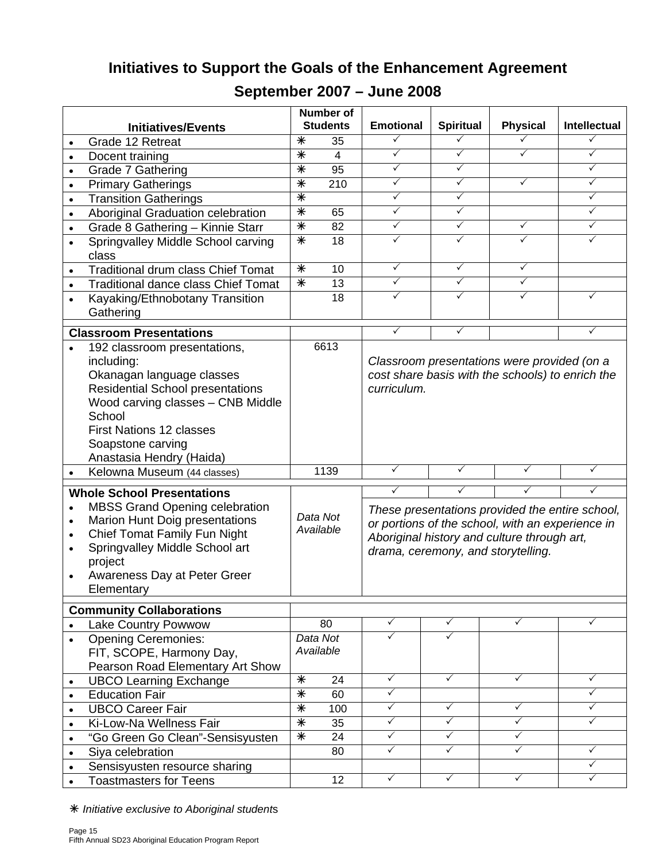# **Initiatives to Support the Goals of the Enhancement Agreement**

|           |                                            |                   | <b>Number of</b> |                  |                  |                                                  |              |
|-----------|--------------------------------------------|-------------------|------------------|------------------|------------------|--------------------------------------------------|--------------|
|           | <b>Initiatives/Events</b>                  |                   | <b>Students</b>  | <b>Emotional</b> | <b>Spiritual</b> | <b>Physical</b>                                  | Intellectual |
|           | Grade 12 Retreat                           | $\ast$            | 35               | ✓                | ✓                |                                                  | ✓            |
| $\bullet$ | Docent training                            | $\overline{\ast}$ | $\overline{4}$   | $\checkmark$     | $\checkmark$     | $\checkmark$                                     | $\checkmark$ |
| $\bullet$ | Grade 7 Gathering                          | $\overline{\ast}$ | 95               | $\checkmark$     | ✓                |                                                  | $\checkmark$ |
| $\bullet$ | <b>Primary Gatherings</b>                  | $\overline{\ast}$ | 210              | $\checkmark$     | $\checkmark$     | ✓                                                | $\checkmark$ |
| $\bullet$ | <b>Transition Gatherings</b>               | $\overline{\ast}$ |                  | $\checkmark$     | $\checkmark$     |                                                  | $\checkmark$ |
| $\bullet$ | Aboriginal Graduation celebration          | $\,{}^*$          | 65               | $\checkmark$     | $\checkmark$     |                                                  | $\checkmark$ |
| $\bullet$ | Grade 8 Gathering - Kinnie Starr           | $\ast$            | 82               | $\checkmark$     | $\checkmark$     | ✓                                                | $\checkmark$ |
| $\bullet$ | Springvalley Middle School carving         | $\overline{\ast}$ | 18               | $\checkmark$     | $\checkmark$     | ✓                                                | $\checkmark$ |
|           | class                                      |                   |                  |                  |                  |                                                  |              |
| $\bullet$ | <b>Traditional drum class Chief Tomat</b>  | $\ast$            | 10               | $\checkmark$     | $\checkmark$     | $\checkmark$                                     |              |
| $\bullet$ | <b>Traditional dance class Chief Tomat</b> | $\ast$            | 13               | $\checkmark$     | $\checkmark$     | ✓                                                |              |
|           | Kayaking/Ethnobotany Transition            |                   | 18               | ✓                | ✓                |                                                  | ✓            |
|           | Gathering                                  |                   |                  |                  |                  |                                                  |              |
|           | <b>Classroom Presentations</b>             |                   |                  | ✓                | ✓                |                                                  | ✓            |
|           | 192 classroom presentations,               |                   | 6613             |                  |                  |                                                  |              |
|           | including:                                 |                   |                  |                  |                  | Classroom presentations were provided (on a      |              |
|           | Okanagan language classes                  |                   |                  |                  |                  | cost share basis with the schools) to enrich the |              |
|           | <b>Residential School presentations</b>    |                   |                  | curriculum.      |                  |                                                  |              |
|           | Wood carving classes - CNB Middle          |                   |                  |                  |                  |                                                  |              |
|           | School                                     |                   |                  |                  |                  |                                                  |              |
|           | <b>First Nations 12 classes</b>            |                   |                  |                  |                  |                                                  |              |
|           | Soapstone carving                          |                   |                  |                  |                  |                                                  |              |
|           | Anastasia Hendry (Haida)                   |                   |                  |                  |                  |                                                  |              |
| $\bullet$ | Kelowna Museum (44 classes)                |                   | 1139             | ✓                | $\checkmark$     | ✓                                                | ✓            |
|           |                                            |                   |                  |                  |                  |                                                  |              |
|           | <b>Whole School Presentations</b>          |                   |                  | ✓                | ✓                | ✓                                                | ✓            |
| $\bullet$ | <b>MBSS Grand Opening celebration</b>      |                   | Data Not         |                  |                  | These presentations provided the entire school,  |              |
| $\bullet$ | Marion Hunt Doig presentations             |                   | Available        |                  |                  | or portions of the school, with an experience in |              |
| $\bullet$ | Chief Tomat Family Fun Night               |                   |                  |                  |                  | Aboriginal history and culture through art,      |              |
| $\bullet$ | Springvalley Middle School art             |                   |                  |                  |                  | drama, ceremony, and storytelling.               |              |
|           | project                                    |                   |                  |                  |                  |                                                  |              |
| $\bullet$ | Awareness Day at Peter Greer               |                   |                  |                  |                  |                                                  |              |
|           | Elementary                                 |                   |                  |                  |                  |                                                  |              |
|           | <b>Community Collaborations</b>            |                   |                  |                  |                  |                                                  |              |
|           | <b>Lake Country Powwow</b>                 |                   | 80               | $\checkmark$     | $\checkmark$     | ✓                                                | $\checkmark$ |
|           | <b>Opening Ceremonies:</b>                 |                   | Data Not         | $\checkmark$     | ✓                |                                                  |              |
|           | FIT, SCOPE, Harmony Day,                   |                   | Available        |                  |                  |                                                  |              |
|           | Pearson Road Elementary Art Show           |                   |                  |                  |                  |                                                  |              |
| $\bullet$ | <b>UBCO Learning Exchange</b>              | $\ast$            | 24               | $\checkmark$     | $\checkmark$     | $\checkmark$                                     | $\checkmark$ |
| $\bullet$ | <b>Education Fair</b>                      | $\overline{\ast}$ | 60               | $\checkmark$     |                  |                                                  | ✓            |
| $\bullet$ | <b>UBCO Career Fair</b>                    | $\ast$            | 100              | $\checkmark$     | $\checkmark$     | ✓                                                | ✓            |
| $\bullet$ | Ki-Low-Na Wellness Fair                    | $\frac{}{\ast}$   | 35               | $\checkmark$     | $\checkmark$     | $\checkmark$                                     | $\checkmark$ |
|           | "Go Green Go Clean"-Sensisyusten           | $\ast$            | 24               | $\checkmark$     | $\checkmark$     | ✓                                                |              |
| $\bullet$ | Siya celebration                           |                   | 80               | $\checkmark$     | $\checkmark$     | ✓                                                | $\checkmark$ |
| $\bullet$ | Sensisyusten resource sharing              |                   |                  |                  |                  |                                                  | $\checkmark$ |
|           | <b>Toastmasters for Teens</b>              |                   | 12               | $\checkmark$     | $\checkmark$     | ✓                                                | $\checkmark$ |

# **September 2007 – June 2008**

Ã *Initiative exclusive to Aboriginal student*s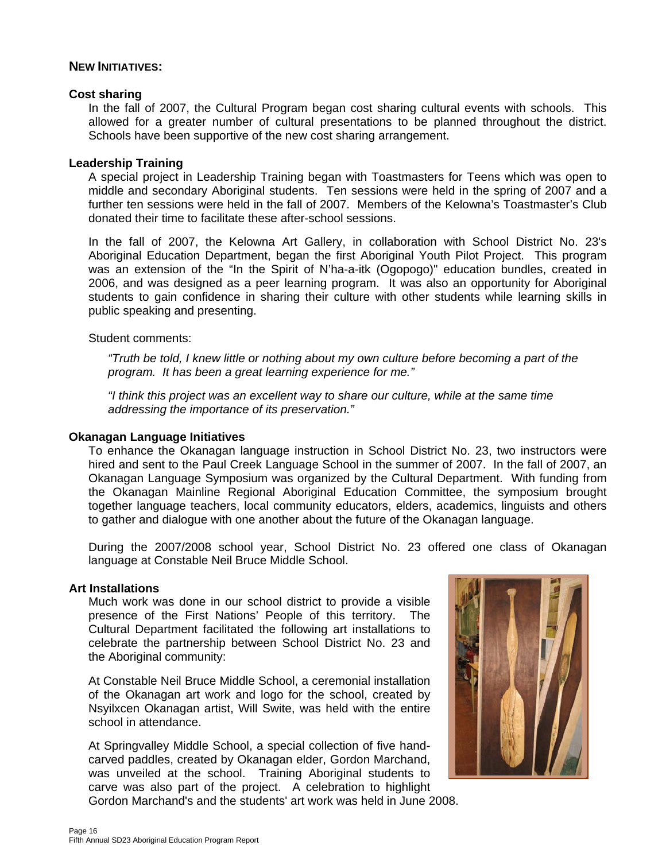#### **NEW INITIATIVES:**

#### **Cost sharing**

In the fall of 2007, the Cultural Program began cost sharing cultural events with schools. This allowed for a greater number of cultural presentations to be planned throughout the district. Schools have been supportive of the new cost sharing arrangement.

#### **Leadership Training**

A special project in Leadership Training began with Toastmasters for Teens which was open to middle and secondary Aboriginal students. Ten sessions were held in the spring of 2007 and a further ten sessions were held in the fall of 2007. Members of the Kelowna's Toastmaster's Club donated their time to facilitate these after-school sessions.

In the fall of 2007, the Kelowna Art Gallery, in collaboration with School District No. 23's Aboriginal Education Department, began the first Aboriginal Youth Pilot Project. This program was an extension of the "In the Spirit of N'ha-a-itk (Ogopogo)" education bundles, created in 2006, and was designed as a peer learning program. It was also an opportunity for Aboriginal students to gain confidence in sharing their culture with other students while learning skills in public speaking and presenting.

#### Student comments:

*"Truth be told, I knew little or nothing about my own culture before becoming a part of the program. It has been a great learning experience for me."* 

*"I think this project was an excellent way to share our culture, while at the same time addressing the importance of its preservation."* 

#### **Okanagan Language Initiatives**

To enhance the Okanagan language instruction in School District No. 23, two instructors were hired and sent to the Paul Creek Language School in the summer of 2007. In the fall of 2007, an Okanagan Language Symposium was organized by the Cultural Department. With funding from the Okanagan Mainline Regional Aboriginal Education Committee, the symposium brought together language teachers, local community educators, elders, academics, linguists and others to gather and dialogue with one another about the future of the Okanagan language.

During the 2007/2008 school year, School District No. 23 offered one class of Okanagan language at Constable Neil Bruce Middle School.

#### **Art Installations**

Much work was done in our school district to provide a visible presence of the First Nations' People of this territory. The Cultural Department facilitated the following art installations to celebrate the partnership between School District No. 23 and the Aboriginal community:

At Constable Neil Bruce Middle School, a ceremonial installation of the Okanagan art work and logo for the school, created by Nsyilxcen Okanagan artist, Will Swite, was held with the entire school in attendance.

At Springvalley Middle School, a special collection of five handcarved paddles, created by Okanagan elder, Gordon Marchand, was unveiled at the school. Training Aboriginal students to carve was also part of the project. A celebration to highlight Gordon Marchand's and the students' art work was held in June 2008.

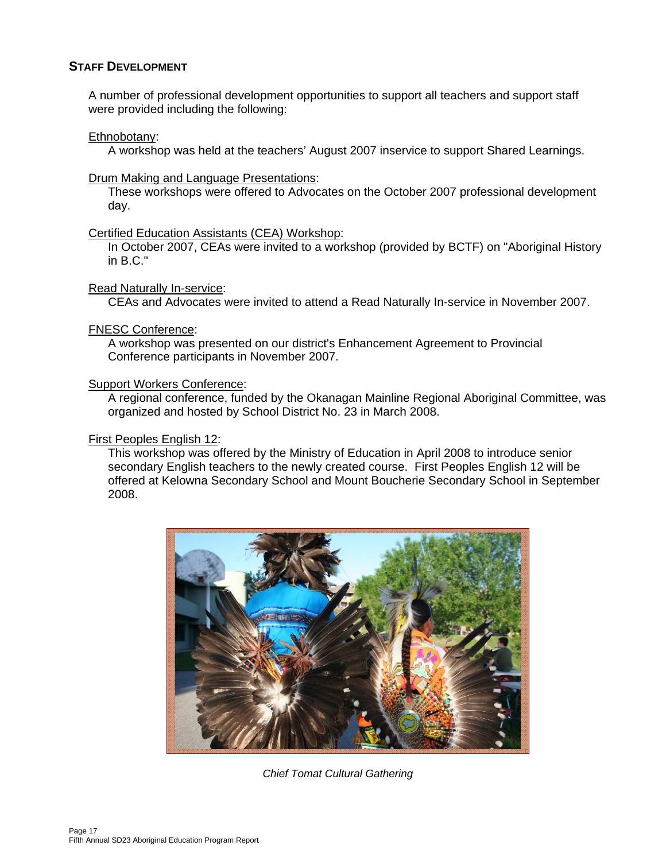#### **STAFF DEVELOPMENT**

A number of professional development opportunities to support all teachers and support staff were provided including the following:

#### Ethnobotany:

A workshop was held at the teachers' August 2007 inservice to support Shared Learnings.

#### Drum Making and Language Presentations:

These workshops were offered to Advocates on the October 2007 professional development day.

#### Certified Education Assistants (CEA) Workshop:

In October 2007, CEAs were invited to a workshop (provided by BCTF) on "Aboriginal History in B.C."

#### Read Naturally In-service:

CEAs and Advocates were invited to attend a Read Naturally In-service in November 2007.

#### FNESC Conference:

A workshop was presented on our district's Enhancement Agreement to Provincial Conference participants in November 2007.

#### Support Workers Conference:

A regional conference, funded by the Okanagan Mainline Regional Aboriginal Committee, was organized and hosted by School District No. 23 in March 2008.

#### First Peoples English 12:

This workshop was offered by the Ministry of Education in April 2008 to introduce senior secondary English teachers to the newly created course. First Peoples English 12 will be offered at Kelowna Secondary School and Mount Boucherie Secondary School in September 2008.



*Chief Tomat Cultural Gathering*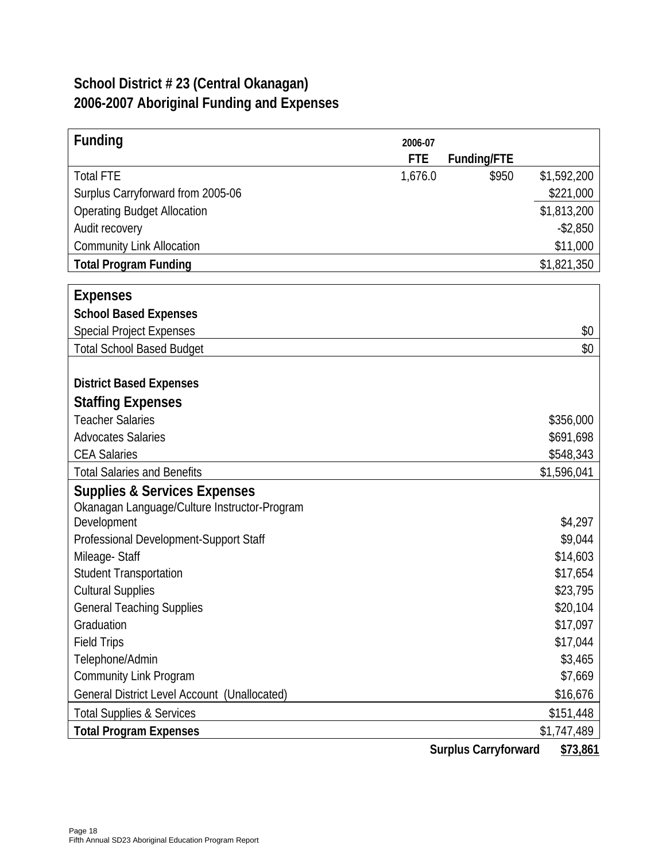# **School District # 23 (Central Okanagan) 2006-2007 Aboriginal Funding and Expenses**

| <b>Funding</b>                                              | 2006-07    |                             |             |
|-------------------------------------------------------------|------------|-----------------------------|-------------|
|                                                             | <b>FTE</b> | Funding/FTE                 |             |
| <b>Total FTE</b>                                            | 1,676.0    | \$950                       | \$1,592,200 |
| Surplus Carryforward from 2005-06                           |            |                             | \$221,000   |
| <b>Operating Budget Allocation</b>                          |            |                             | \$1,813,200 |
| Audit recovery                                              |            |                             | $-$ \$2,850 |
| <b>Community Link Allocation</b>                            |            |                             | \$11,000    |
| <b>Total Program Funding</b>                                |            |                             | \$1,821,350 |
|                                                             |            |                             |             |
| <b>Expenses</b>                                             |            |                             |             |
| <b>School Based Expenses</b>                                |            |                             |             |
| Special Project Expenses                                    |            |                             | \$0         |
| <b>Total School Based Budget</b>                            |            |                             | \$0         |
|                                                             |            |                             |             |
| <b>District Based Expenses</b>                              |            |                             |             |
| <b>Staffing Expenses</b>                                    |            |                             |             |
| <b>Teacher Salaries</b>                                     |            |                             | \$356,000   |
| <b>Advocates Salaries</b>                                   |            |                             | \$691,698   |
| <b>CEA Salaries</b>                                         |            |                             | \$548,343   |
| <b>Total Salaries and Benefits</b>                          |            |                             | \$1,596,041 |
| <b>Supplies &amp; Services Expenses</b>                     |            |                             |             |
| Okanagan Language/Culture Instructor-Program<br>Development |            |                             | \$4,297     |
| Professional Development-Support Staff                      |            |                             | \$9,044     |
| Mileage-Staff                                               |            |                             | \$14,603    |
| <b>Student Transportation</b>                               |            |                             | \$17,654    |
| <b>Cultural Supplies</b>                                    |            |                             | \$23,795    |
| <b>General Teaching Supplies</b>                            |            |                             | \$20,104    |
| Graduation                                                  |            |                             | \$17,097    |
| <b>Field Trips</b>                                          |            |                             | \$17,044    |
| Telephone/Admin                                             |            |                             | \$3,465     |
| <b>Community Link Program</b>                               |            |                             | \$7,669     |
| General District Level Account (Unallocated)                |            |                             | \$16,676    |
| <b>Total Supplies &amp; Services</b>                        |            |                             | \$151,448   |
| <b>Total Program Expenses</b>                               |            |                             | \$1,747,489 |
|                                                             |            | <b>Surplus Carryforward</b> | \$73,861    |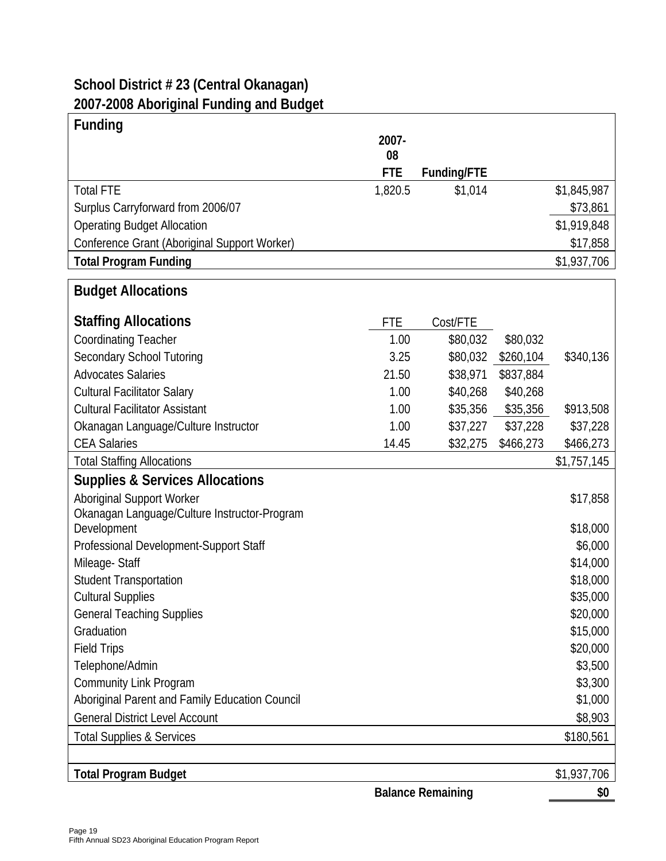# **School District # 23 (Central Okanagan) 2007-2008 Aboriginal Funding and Budget**

| <b>Funding</b>                                 |            |                          |           |             |
|------------------------------------------------|------------|--------------------------|-----------|-------------|
|                                                | 2007-      |                          |           |             |
|                                                | 08         |                          |           |             |
|                                                | <b>FTE</b> | Funding/FTE              |           |             |
| <b>Total FTE</b>                               | 1,820.5    | \$1,014                  |           | \$1,845,987 |
| Surplus Carryforward from 2006/07              |            |                          |           | \$73,861    |
| <b>Operating Budget Allocation</b>             |            |                          |           | \$1,919,848 |
| Conference Grant (Aboriginal Support Worker)   |            |                          |           | \$17,858    |
| <b>Total Program Funding</b>                   |            |                          |           | \$1,937,706 |
| <b>Budget Allocations</b>                      |            |                          |           |             |
| <b>Staffing Allocations</b>                    | <b>FTE</b> | Cost/FTE                 |           |             |
| <b>Coordinating Teacher</b>                    | 1.00       | \$80,032                 | \$80,032  |             |
| <b>Secondary School Tutoring</b>               | 3.25       | \$80,032                 | \$260,104 | \$340,136   |
| <b>Advocates Salaries</b>                      | 21.50      | \$38,971                 | \$837,884 |             |
| <b>Cultural Facilitator Salary</b>             | 1.00       | \$40,268                 | \$40,268  |             |
| <b>Cultural Facilitator Assistant</b>          | 1.00       | \$35,356                 | \$35,356  | \$913,508   |
| Okanagan Language/Culture Instructor           | 1.00       | \$37,227                 | \$37,228  | \$37,228    |
| <b>CEA Salaries</b>                            | 14.45      | \$32,275                 | \$466,273 | \$466,273   |
| <b>Total Staffing Allocations</b>              |            |                          |           | \$1,757,145 |
| <b>Supplies &amp; Services Allocations</b>     |            |                          |           |             |
| <b>Aboriginal Support Worker</b>               |            |                          |           | \$17,858    |
| Okanagan Language/Culture Instructor-Program   |            |                          |           |             |
| Development                                    |            |                          |           | \$18,000    |
| Professional Development-Support Staff         |            |                          |           | \$6,000     |
| Mileage-Staff                                  |            |                          |           | \$14,000    |
| <b>Student Transportation</b>                  |            |                          |           | \$18,000    |
| <b>Cultural Supplies</b>                       |            |                          |           | \$35,000    |
| <b>General Teaching Supplies</b>               |            |                          |           | \$20,000    |
| Graduation                                     |            |                          |           | \$15,000    |
| <b>Field Trips</b>                             |            |                          |           | \$20,000    |
| Telephone/Admin                                |            |                          |           | \$3,500     |
| <b>Community Link Program</b>                  |            |                          |           | \$3,300     |
| Aboriginal Parent and Family Education Council |            |                          |           | \$1,000     |
| <b>General District Level Account</b>          |            |                          |           | \$8,903     |
| <b>Total Supplies &amp; Services</b>           |            |                          |           | \$180,561   |
|                                                |            |                          |           |             |
| <b>Total Program Budget</b>                    |            |                          |           | \$1,937,706 |
|                                                |            | <b>Balance Remaining</b> |           | \$0         |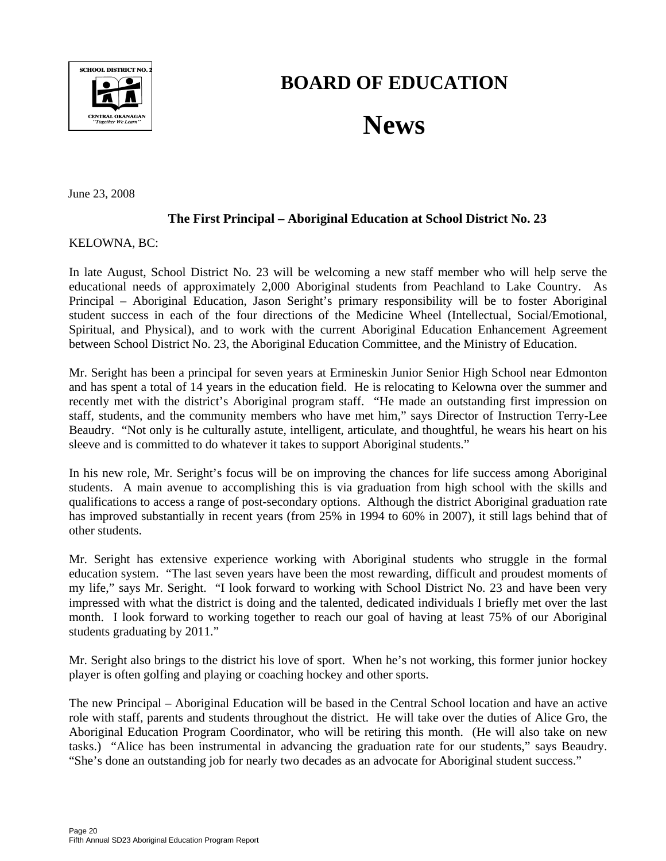

# **BOARD OF EDUCATION**

# **News**

June 23, 2008

#### **The First Principal – Aboriginal Education at School District No. 23**

KELOWNA, BC:

In late August, School District No. 23 will be welcoming a new staff member who will help serve the educational needs of approximately 2,000 Aboriginal students from Peachland to Lake Country. As Principal – Aboriginal Education, Jason Seright's primary responsibility will be to foster Aboriginal student success in each of the four directions of the Medicine Wheel (Intellectual, Social/Emotional, Spiritual, and Physical), and to work with the current Aboriginal Education Enhancement Agreement between School District No. 23, the Aboriginal Education Committee, and the Ministry of Education.

Mr. Seright has been a principal for seven years at Ermineskin Junior Senior High School near Edmonton and has spent a total of 14 years in the education field. He is relocating to Kelowna over the summer and recently met with the district's Aboriginal program staff. "He made an outstanding first impression on staff, students, and the community members who have met him," says Director of Instruction Terry-Lee Beaudry. "Not only is he culturally astute, intelligent, articulate, and thoughtful, he wears his heart on his sleeve and is committed to do whatever it takes to support Aboriginal students."

In his new role, Mr. Seright's focus will be on improving the chances for life success among Aboriginal students. A main avenue to accomplishing this is via graduation from high school with the skills and qualifications to access a range of post-secondary options. Although the district Aboriginal graduation rate has improved substantially in recent years (from 25% in 1994 to 60% in 2007), it still lags behind that of other students.

Mr. Seright has extensive experience working with Aboriginal students who struggle in the formal education system. "The last seven years have been the most rewarding, difficult and proudest moments of my life," says Mr. Seright. "I look forward to working with School District No. 23 and have been very impressed with what the district is doing and the talented, dedicated individuals I briefly met over the last month. I look forward to working together to reach our goal of having at least 75% of our Aboriginal students graduating by 2011."

Mr. Seright also brings to the district his love of sport. When he's not working, this former junior hockey player is often golfing and playing or coaching hockey and other sports.

The new Principal – Aboriginal Education will be based in the Central School location and have an active role with staff, parents and students throughout the district. He will take over the duties of Alice Gro, the Aboriginal Education Program Coordinator, who will be retiring this month. (He will also take on new tasks.) "Alice has been instrumental in advancing the graduation rate for our students," says Beaudry. "She's done an outstanding job for nearly two decades as an advocate for Aboriginal student success."